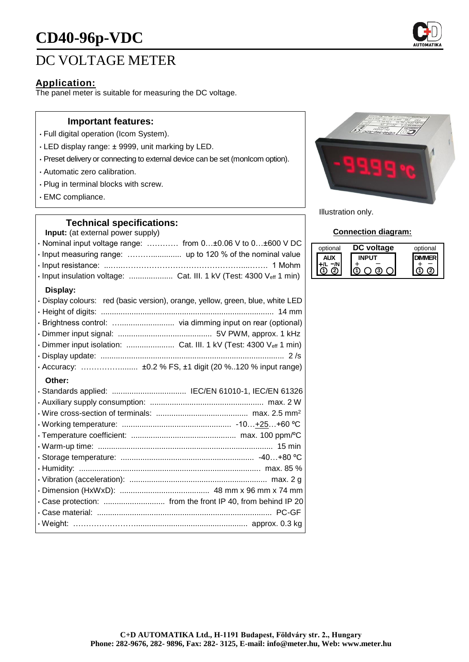# **CD40-96p-VDC**

## DC VOLTAGE METER

## **Application:**

The panel meter is suitable for measuring the DC voltage.

## **Important features:**

- Full digital operation (Icom System).
- LED display range: ± 9999, unit marking by LED.
- Preset delivery or connecting to external device can be set (monIcom option).
- Automatic zero calibration.
- Plug in terminal blocks with screw.
- EMC compliance.

## **Technical specifications:**

**Input:** (at external power supply)

| $\cdot$ Nominal input voltage range:  from 0 $\pm$ 0.06 V to 0 $\pm$ 600 V DC |  |
|-------------------------------------------------------------------------------|--|
|                                                                               |  |
|                                                                               |  |
|                                                                               |  |

## **Display:**

| · Display colours: red (basic version), orange, yellow, green, blue, white LED |
|--------------------------------------------------------------------------------|
|                                                                                |
|                                                                                |
|                                                                                |
|                                                                                |
|                                                                                |
|                                                                                |

#### **Other:**



Illustration only.

## **Connection diagram:**

| optional | voltage | optional |
|----------|---------|----------|
|          |         |          |